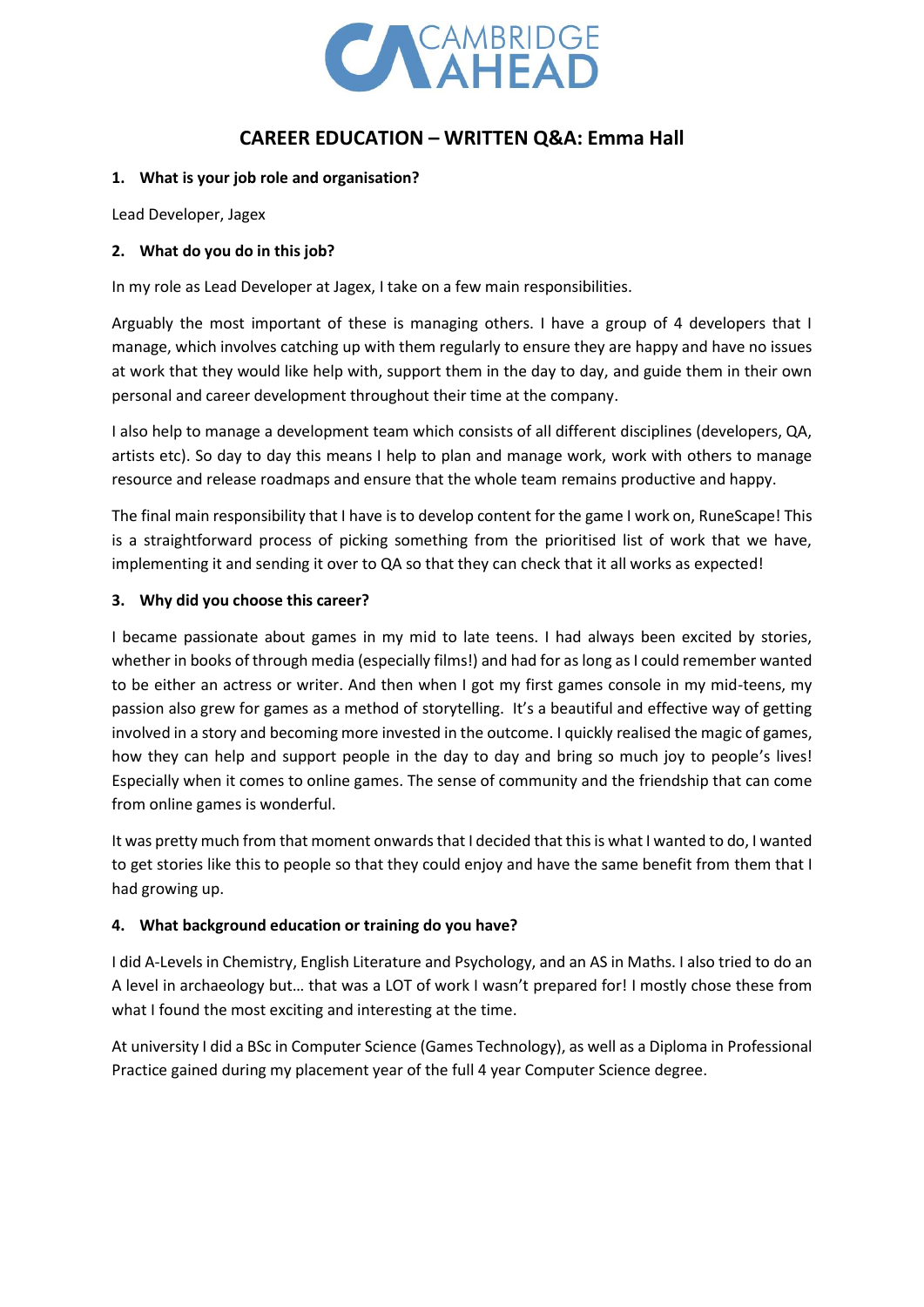

# **CAREER EDUCATION – WRITTEN Q&A: Emma Hall**

### **1. What is your job role and organisation?**

Lead Developer, Jagex

### **2. What do you do in this job?**

In my role as Lead Developer at Jagex, I take on a few main responsibilities.

Arguably the most important of these is managing others. I have a group of 4 developers that I manage, which involves catching up with them regularly to ensure they are happy and have no issues at work that they would like help with, support them in the day to day, and guide them in their own personal and career development throughout their time at the company.

I also help to manage a development team which consists of all different disciplines (developers, QA, artists etc). So day to day this means I help to plan and manage work, work with others to manage resource and release roadmaps and ensure that the whole team remains productive and happy.

The final main responsibility that I have is to develop content for the game I work on, RuneScape! This is a straightforward process of picking something from the prioritised list of work that we have, implementing it and sending it over to QA so that they can check that it all works as expected!

### **3. Why did you choose this career?**

I became passionate about games in my mid to late teens. I had always been excited by stories, whether in books of through media (especially films!) and had for as long as I could remember wanted to be either an actress or writer. And then when I got my first games console in my mid-teens, my passion also grew for games as a method of storytelling. It's a beautiful and effective way of getting involved in a story and becoming more invested in the outcome. I quickly realised the magic of games, how they can help and support people in the day to day and bring so much joy to people's lives! Especially when it comes to online games. The sense of community and the friendship that can come from online games is wonderful.

It was pretty much from that moment onwards that I decided that this is what I wanted to do, I wanted to get stories like this to people so that they could enjoy and have the same benefit from them that I had growing up.

## **4. What background education or training do you have?**

I did A-Levels in Chemistry, English Literature and Psychology, and an AS in Maths. I also tried to do an A level in archaeology but… that was a LOT of work I wasn't prepared for! I mostly chose these from what I found the most exciting and interesting at the time.

At university I did a BSc in Computer Science (Games Technology), as well as a Diploma in Professional Practice gained during my placement year of the full 4 year Computer Science degree.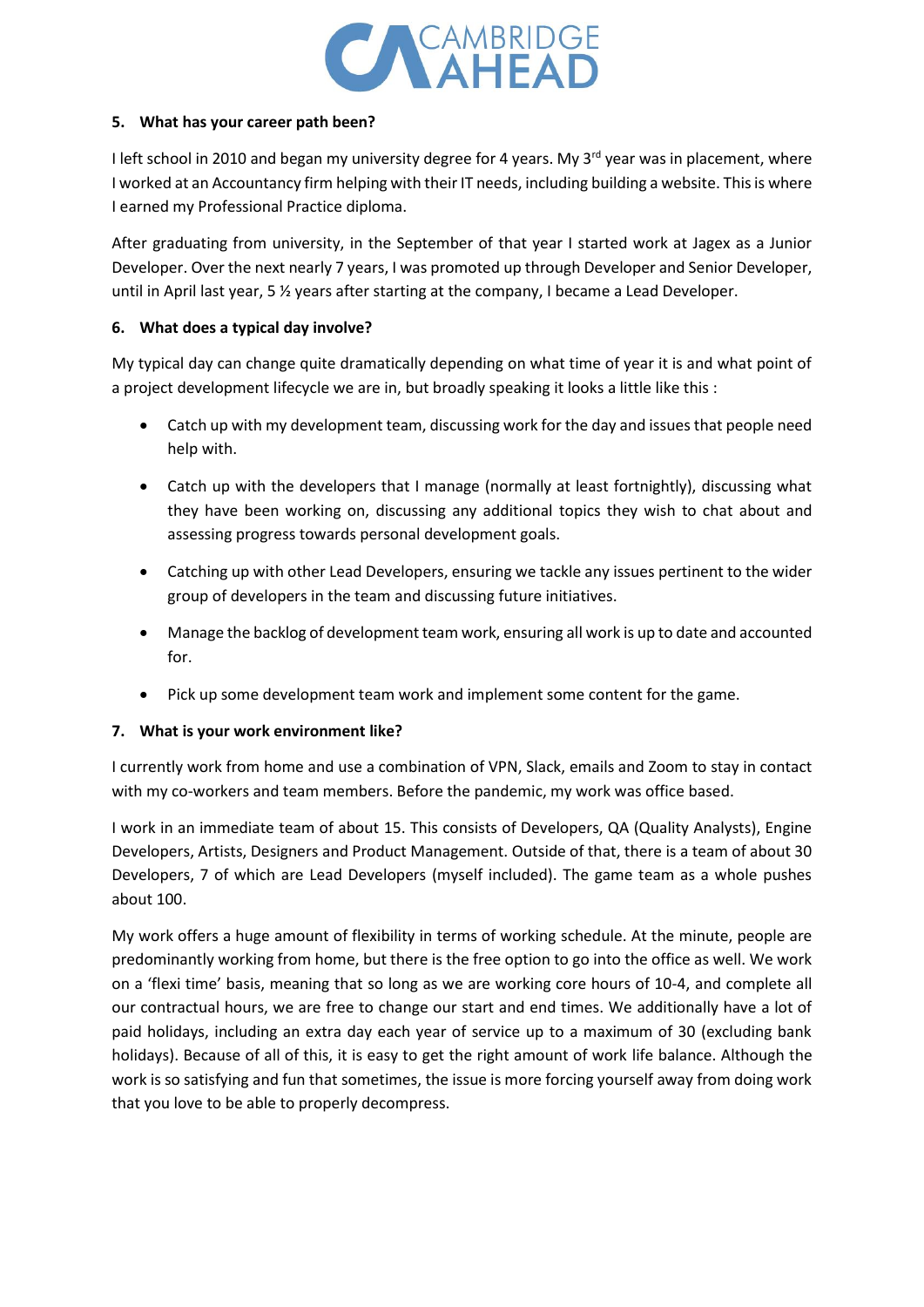

## **5. What has your career path been?**

I left school in 2010 and began my university degree for 4 years. My 3<sup>rd</sup> year was in placement, where I worked at an Accountancy firm helping with their IT needs, including building a website. This is where I earned my Professional Practice diploma.

After graduating from university, in the September of that year I started work at Jagex as a Junior Developer. Over the next nearly 7 years, I was promoted up through Developer and Senior Developer, until in April last year, 5 ½ years after starting at the company, I became a Lead Developer.

## **6. What does a typical day involve?**

My typical day can change quite dramatically depending on what time of year it is and what point of a project development lifecycle we are in, but broadly speaking it looks a little like this :

- Catch up with my development team, discussing work for the day and issues that people need help with.
- Catch up with the developers that I manage (normally at least fortnightly), discussing what they have been working on, discussing any additional topics they wish to chat about and assessing progress towards personal development goals.
- Catching up with other Lead Developers, ensuring we tackle any issues pertinent to the wider group of developers in the team and discussing future initiatives.
- Manage the backlog of development team work, ensuring all work is up to date and accounted for.
- Pick up some development team work and implement some content for the game.

## **7. What is your work environment like?**

I currently work from home and use a combination of VPN, Slack, emails and Zoom to stay in contact with my co-workers and team members. Before the pandemic, my work was office based.

I work in an immediate team of about 15. This consists of Developers, QA (Quality Analysts), Engine Developers, Artists, Designers and Product Management. Outside of that, there is a team of about 30 Developers, 7 of which are Lead Developers (myself included). The game team as a whole pushes about 100.

My work offers a huge amount of flexibility in terms of working schedule. At the minute, people are predominantly working from home, but there is the free option to go into the office as well. We work on a 'flexi time' basis, meaning that so long as we are working core hours of 10-4, and complete all our contractual hours, we are free to change our start and end times. We additionally have a lot of paid holidays, including an extra day each year of service up to a maximum of 30 (excluding bank holidays). Because of all of this, it is easy to get the right amount of work life balance. Although the work is so satisfying and fun that sometimes, the issue is more forcing yourself away from doing work that you love to be able to properly decompress.